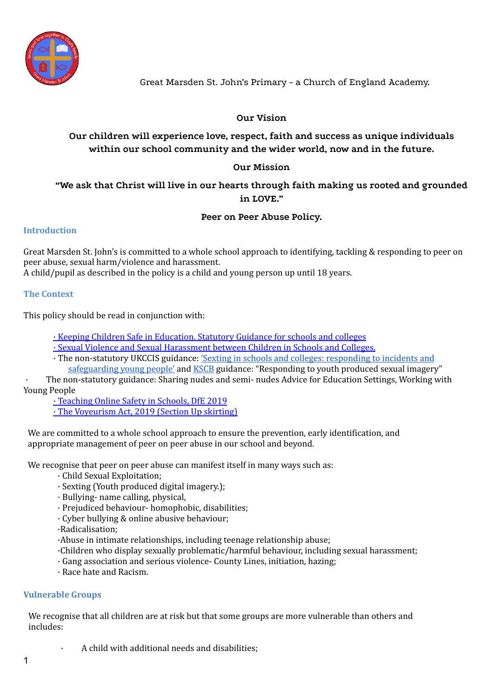

# **Our Vision**

**Our children will experience love, respect, faith and success as unique individuals within our school community and the wider world, now and in the future.**

## **Our Mission**

# **"We ask that Christ will live in our hearts through faith making us rooted and grounded in LOVE."**

### **Peer on Peer Abuse Policy.**

### **Introduction**

Great Marsden St. John's is committed to a whole school approach to identifying, tackling & responding to peer on peer abuse, sexual harm/violence and harassment.

A child/pupil as described in the policy is a child and young person up until 18 years.

### **The Context**

This policy should be read in conjunction with:

· Keeping Children Safe in [Education.](https://www.gov.uk/government/publications/keeping-children-safe-in-education--2) Statutory Guidance for schools and colleges

· Sexual Violence and Sexual [Harassment](https://www.gov.uk/government/publications/sexual-violence-and-sexual-harassment-between-children-in-schools-and-colleges) between Children in Schools and Colleges.

· The non-statutory UKCCIS guidance: 'Sexting in schools and colleges: [responding](https://www.gov.uk/government/groups/uk-council-for-child-internet-safety-ukccis) to incidents and [safeguarding](https://www.gov.uk/government/groups/uk-council-for-child-internet-safety-ukccis) young people' and [KSCB](http://www.kscb.org.uk/guidance/online-safety) guidance: "Responding to youth produced sexual imagery"

The non-statutory guidance: Sharing nudes and semi- nudes Advice for Education Settings, Working with Young People

· [Teaching](https://www.gov.uk/government/publications/teaching-online-safety-in-schools) Online Safety in Schools, DfE 2019

· The [Voyeurism](https://www.gov.uk/government/publications/implementation-of-the-voyeurism-offences-act-2019) Act, 2019 (Section Up skirting)

We are committed to a whole school approach to ensure the prevention, early identification, and appropriate management of peer on peer abuse in our school and beyond.

We recognise that peer on peer abuse can manifest itself in many ways such as:

- · Child Sexual Exploitation;
- · Sexting (Youth produced digital imagery.);
- · Bullying- name calling, physical,
- · Prejudiced behaviour- homophobic, disabilities;
- · Cyber bullying & online abusive behaviour;
- ·Radicalisation;

·Abuse in intimate relationships, including teenage relationship abuse;

- ·Children who display sexually problematic/harmful behaviour, including sexual harassment;
- · Gang association and serious violence- County Lines, initiation, hazing;
- · Race hate and Racism.

### **Vulnerable Groups**

We recognise that all children are at risk but that some groups are more vulnerable than others and includes:

· A child with additional needs and disabilities;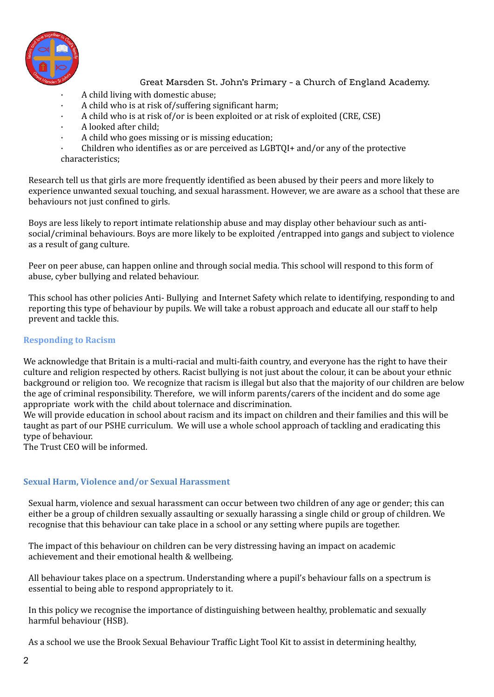

- · A child living with domestic abuse;
- · A child who is at risk of/suffering significant harm;
- · A child who is at risk of/or is been exploited or at risk of exploited (CRE, CSE)
- · A looked after child;
- · A child who goes missing or is missing education;
- · Children who identifies as or are perceived as LGBTQI+ and/or any of the protective characteristics;

Research tell us that girls are more frequently identified as been abused by their peers and more likely to experience unwanted sexual touching, and sexual harassment. However, we are aware as a school that these are behaviours not just confined to girls.

Boys are less likely to report intimate relationship abuse and may display other behaviour such as antisocial/criminal behaviours. Boys are more likely to be exploited /entrapped into gangs and subject to violence as a result of gang culture.

Peer on peer abuse, can happen online and through social media. This school will respond to this form of abuse, cyber bullying and related behaviour.

This school has other policies Anti- Bullying and Internet Safety which relate to identifying, responding to and reporting this type of behaviour by pupils. We will take a robust approach and educate all our staff to help prevent and tackle this.

### **Responding to Racism**

We acknowledge that Britain is a multi-racial and multi-faith country, and everyone has the right to have their culture and religion respected by others. Racist bullying is not just about the colour, it can be about your ethnic background or religion too. We recognize that racism is illegal but also that the majority of our children are below the age of criminal responsibility. Therefore, we will inform parents/carers of the incident and do some age appropriate work with the child about tolernace and discrimination.

We will provide education in school about racism and its impact on children and their families and this will be taught as part of our PSHE curriculum. We will use a whole school approach of tackling and eradicating this type of behaviour.

The Trust CEO will be informed.

## **Sexual Harm, Violence and/or Sexual Harassment**

Sexual harm, violence and sexual harassment can occur between two children of any age or gender; this can either be a group of children sexually assaulting or sexually harassing a single child or group of children. We recognise that this behaviour can take place in a school or any setting where pupils are together.

The impact of this behaviour on children can be very distressing having an impact on academic achievement and their emotional health & wellbeing.

All behaviour takes place on a spectrum. Understanding where a pupil's behaviour falls on a spectrum is essential to being able to respond appropriately to it.

In this policy we recognise the importance of distinguishing between healthy, problematic and sexually harmful behaviour (HSB).

As a school we use the Brook Sexual Behaviour Traffic Light Tool Kit to assist in determining healthy,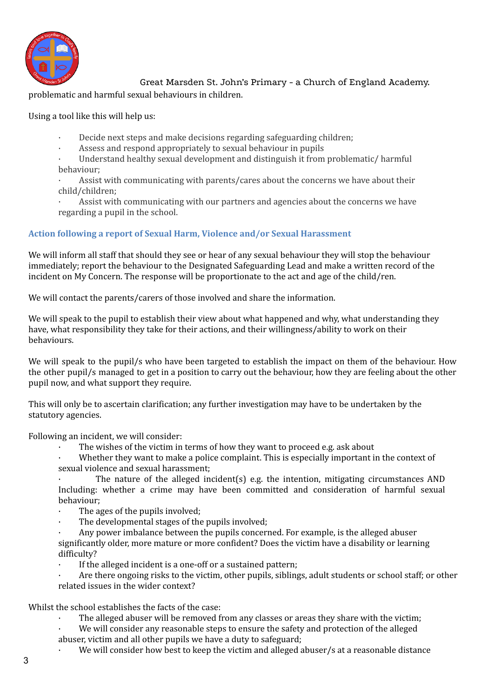

### problematic and harmful sexual behaviours in children.

Using a tool like this will help us:

- Decide next steps and make decisions regarding safeguarding children;
- Assess and respond appropriately to sexual behaviour in pupils

Understand healthy sexual development and distinguish it from problematic/ harmful behaviour;

Assist with communicating with parents/cares about the concerns we have about their child/children;

Assist with communicating with our partners and agencies about the concerns we have regarding a pupil in the school.

### **Action following a report of Sexual Harm, Violence and/or Sexual Harassment**

We will inform all staff that should they see or hear of any sexual behaviour they will stop the behaviour immediately; report the behaviour to the Designated Safeguarding Lead and make a written record of the incident on My Concern. The response will be proportionate to the act and age of the child/ren.

We will contact the parents/carers of those involved and share the information.

We will speak to the pupil to establish their view about what happened and why, what understanding they have, what responsibility they take for their actions, and their willingness/ability to work on their behaviours.

We will speak to the pupil/s who have been targeted to establish the impact on them of the behaviour. How the other pupil/s managed to get in a position to carry out the behaviour, how they are feeling about the other pupil now, and what support they require.

This will only be to ascertain clarification; any further investigation may have to be undertaken by the statutory agencies.

Following an incident, we will consider:

The wishes of the victim in terms of how they want to proceed e.g. ask about

Whether they want to make a police complaint. This is especially important in the context of sexual violence and sexual harassment;

The nature of the alleged incident(s) e.g. the intention, mitigating circumstances AND Including: whether a crime may have been committed and consideration of harmful sexual behaviour;

- The ages of the pupils involved:
- The developmental stages of the pupils involved;
- · Any power imbalance between the pupils concerned. For example, is the alleged abuser significantly older, more mature or more confident? Does the victim have a disability or learning difficulty?
- If the alleged incident is a one-off or a sustained pattern;
- Are there ongoing risks to the victim, other pupils, siblings, adult students or school staff; or other related issues in the wider context?

Whilst the school establishes the facts of the case:

- The alleged abuser will be removed from any classes or areas they share with the victim;
- We will consider any reasonable steps to ensure the safety and protection of the alleged
- abuser, victim and all other pupils we have a duty to safeguard;
	- We will consider how best to keep the victim and alleged abuser/s at a reasonable distance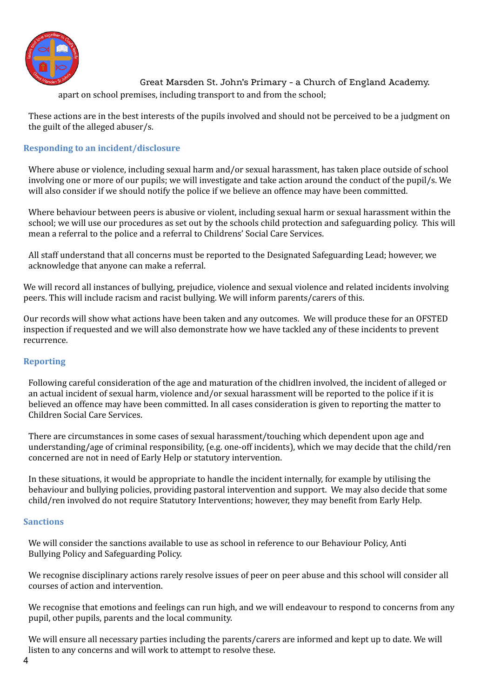

Great Marsden St. John's Primary - a Church of England Academy. apart on school premises, including transport to and from the school;

These actions are in the best interests of the pupils involved and should not be perceived to be a judgment on the guilt of the alleged abuser/s.

## **Responding to an incident/disclosure**

Where abuse or violence, including sexual harm and/or sexual harassment, has taken place outside of school involving one or more of our pupils; we will investigate and take action around the conduct of the pupil/s. We will also consider if we should notify the police if we believe an offence may have been committed.

Where behaviour between peers is abusive or violent, including sexual harm or sexual harassment within the school; we will use our procedures as set out by the schools child protection and safeguarding policy. This will mean a referral to the police and a referral to Childrens' Social Care Services.

All staff understand that all concerns must be reported to the Designated Safeguarding Lead; however, we acknowledge that anyone can make a referral.

We will record all instances of bullying, prejudice, violence and sexual violence and related incidents involving peers. This will include racism and racist bullying. We will inform parents/carers of this.

Our records will show what actions have been taken and any outcomes. We will produce these for an OFSTED inspection if requested and we will also demonstrate how we have tackled any of these incidents to prevent recurrence.

### **Reporting**

Following careful consideration of the age and maturation of the chidlren involved, the incident of alleged or an actual incident of sexual harm, violence and/or sexual harassment will be reported to the police if it is believed an offence may have been committed. In all cases consideration is given to reporting the matter to Children Social Care Services.

There are circumstances in some cases of sexual harassment/touching which dependent upon age and understanding/age of criminal responsibility, (e.g. one-off incidents), which we may decide that the child/ren concerned are not in need of Early Help or statutory intervention.

In these situations, it would be appropriate to handle the incident internally, for example by utilising the behaviour and bullying policies, providing pastoral intervention and support. We may also decide that some child/ren involved do not require Statutory Interventions; however, they may benefit from Early Help.

### **Sanctions**

We will consider the sanctions available to use as school in reference to our Behaviour Policy, Anti Bullying Policy and Safeguarding Policy.

We recognise disciplinary actions rarely resolve issues of peer on peer abuse and this school will consider all courses of action and intervention.

We recognise that emotions and feelings can run high, and we will endeavour to respond to concerns from any pupil, other pupils, parents and the local community.

We will ensure all necessary parties including the parents/carers are informed and kept up to date. We will listen to any concerns and will work to attempt to resolve these.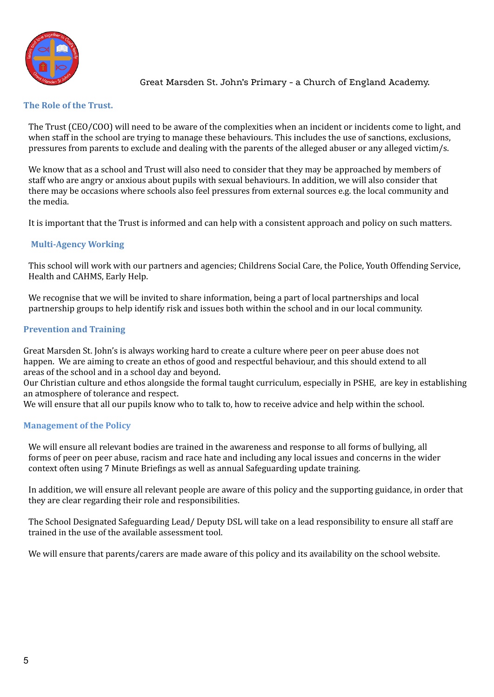

#### **The Role of the Trust.**

The Trust (CEO/COO) will need to be aware of the complexities when an incident or incidents come to light, and when staff in the school are trying to manage these behaviours. This includes the use of sanctions, exclusions, pressures from parents to exclude and dealing with the parents of the alleged abuser or any alleged victim/s.

We know that as a school and Trust will also need to consider that they may be approached by members of staff who are angry or anxious about pupils with sexual behaviours. In addition, we will also consider that there may be occasions where schools also feel pressures from external sources e.g. the local community and the media.

It is important that the Trust is informed and can help with a consistent approach and policy on such matters.

### **Multi-Agency Working**

This school will work with our partners and agencies; Childrens Social Care, the Police, Youth Offending Service, Health and CAHMS, Early Help.

We recognise that we will be invited to share information, being a part of local partnerships and local partnership groups to help identify risk and issues both within the school and in our local community.

### **Prevention and Training**

Great Marsden St. John's is always working hard to create a culture where peer on peer abuse does not happen. We are aiming to create an ethos of good and respectful behaviour, and this should extend to all areas of the school and in a school day and beyond.

Our Christian culture and ethos alongside the formal taught curriculum, especially in PSHE, are key in establishing an atmosphere of tolerance and respect.

We will ensure that all our pupils know who to talk to, how to receive advice and help within the school.

### **Management of the Policy**

We will ensure all relevant bodies are trained in the awareness and response to all forms of bullying, all forms of peer on peer abuse, racism and race hate and including any local issues and concerns in the wider context often using 7 Minute Briefings as well as annual Safeguarding update training.

In addition, we will ensure all relevant people are aware of this policy and the supporting guidance, in order that they are clear regarding their role and responsibilities.

The School Designated Safeguarding Lead/ Deputy DSL will take on a lead responsibility to ensure all staff are trained in the use of the available assessment tool.

We will ensure that parents/carers are made aware of this policy and its availability on the school website.